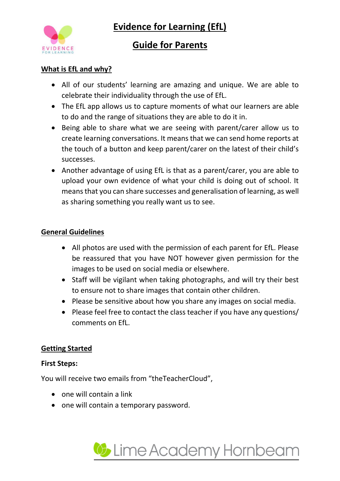

**Evidence for Learning (EfL)**

## **Guide for Parents**

## **What is EfL and why?**

- All of our students' learning are amazing and unique. We are able to celebrate their individuality through the use of EfL.
- The EfL app allows us to capture moments of what our learners are able to do and the range of situations they are able to do it in.
- Being able to share what we are seeing with parent/carer allow us to create learning conversations. It means that we can send home reports at the touch of a button and keep parent/carer on the latest of their child's successes.
- Another advantage of using EfL is that as a parent/carer, you are able to upload your own evidence of what your child is doing out of school. It means that you can share successes and generalisation of learning, as well as sharing something you really want us to see.

## **General Guidelines**

- All photos are used with the permission of each parent for EfL. Please be reassured that you have NOT however given permission for the images to be used on social media or elsewhere.
- Staff will be vigilant when taking photographs, and will try their best to ensure not to share images that contain other children.
- Please be sensitive about how you share any images on social media.
- Please feel free to contact the class teacher if you have any questions/ comments on EfL.

### **Getting Started**

### **First Steps:**

You will receive two emails from "theTeacherCloud",

- $\bullet$  one will contain a link
- one will contain a temporary password.